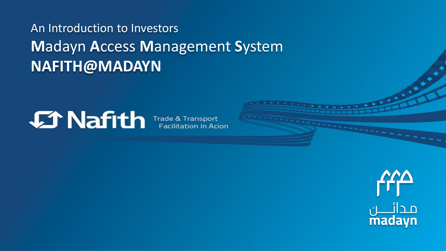### An Introduction to Investors **M**adayn **A**ccess **M**anagement **S**ystem **NAFITH@MADAYN**



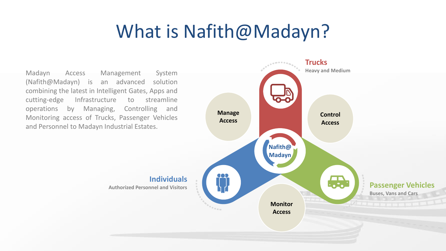# What is Nafith@Madayn?

Madayn Access Management System (Nafith@Madayn) is an advanced solution combining the latest in Intelligent Gates, Apps and cutting-edge Infrastructure to streamline operations by Managing, Controlling and Monitoring access of Trucks, Passenger Vehicles and Personnel to Madayn Industrial Estates.

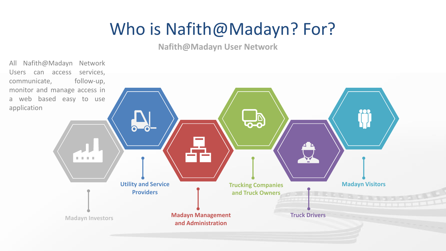# Who is Nafith@Madayn? For?

#### **Nafith@Madayn User Network**

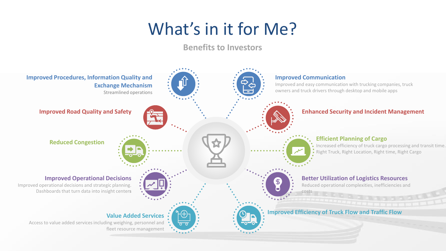# What's in it for Me?

**Benefits to Investors**

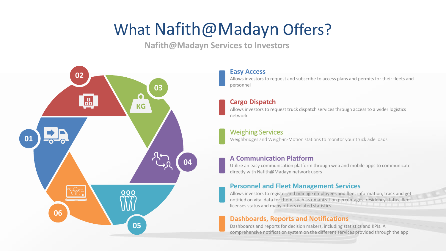## What Nafith@Madayn Offers?

**Nafith@Madayn Services to Investors**



#### **Easy Access**

Allows investors to request and subscribe to access plans and permits for their fleets and personnel

#### **Cargo Dispatch**

Allows investors to request truck dispatch services through access to a wider logistics network

#### Weighing Services

Weighbridges and Weigh-in-Motion stations to monitor your truck axle loads

#### **A Communication Platform**

Utilize an easy communication platform through web and mobile apps to communicate directly with Nafith@Madayn network users

#### **Personnel and Fleet Management Services**

Allows investors to register and manage employees and fleet information, track and get notified on vital data for them, such as omanization percentages, residency status, fleet licenses status and many others related statistics.

#### **Dashboards, Reports and Notifications**

Dashboards and reports for decision makers, including statistics and KPIs. A comprehensive notification system on the different services provided through the app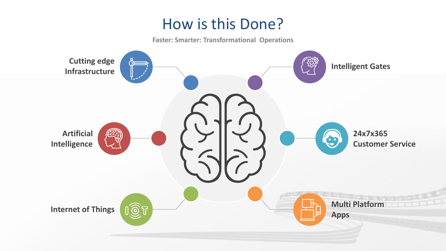### How is this Done?

**Faster: Smarter: Transformational Operations**

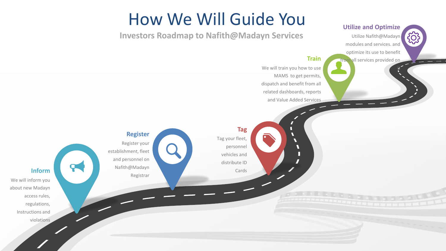### How We Will Guide You

**Tag**

Cards

Tag your fleet,

personnel vehicles and distribute ID

**Investors Roadmap to Nafith@Madayn Services**

We will train you how to use MAMS to get permits, dispatch and benefit from all related dashboards, reports and Value Added Services

> 7 П V  $\blacktriangledown$  $\blacksquare$ Г

**Train**

**Utilize and Optimize** 

Utilize Nafith@Madayn modules and services. and optimize its use to benefit from all services provided on

it

{0}

**Register** Register your establishment, fleet and personnel on Nafith@Madayn Registrar

**Inform**

 $\mathbf{R}$ 

We will inform you about new Madayn access rules, regulations, Instructions and violations